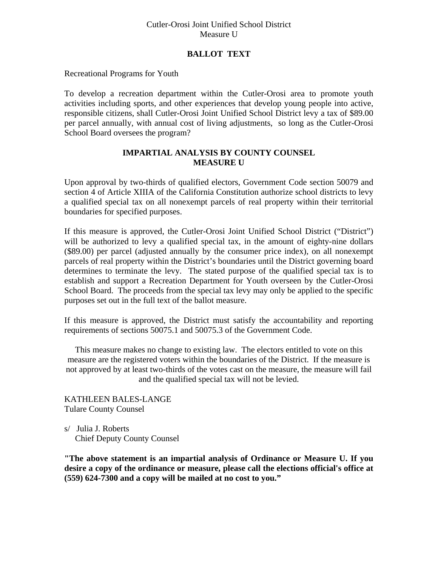## Cutler-Orosi Joint Unified School District Measure U

## **BALLOT TEXT**

Recreational Programs for Youth

To develop a recreation department within the Cutler-Orosi area to promote youth activities including sports, and other experiences that develop young people into active, responsible citizens, shall Cutler-Orosi Joint Unified School District levy a tax of \$89.00 per parcel annually, with annual cost of living adjustments, so long as the Cutler-Orosi School Board oversees the program?

## **IMPARTIAL ANALYSIS BY COUNTY COUNSEL MEASURE U**

Upon approval by two-thirds of qualified electors, Government Code section 50079 and section 4 of Article XIIIA of the California Constitution authorize school districts to levy a qualified special tax on all nonexempt parcels of real property within their territorial boundaries for specified purposes.

If this measure is approved, the Cutler-Orosi Joint Unified School District ("District") will be authorized to levy a qualified special tax, in the amount of eighty-nine dollars (\$89.00) per parcel (adjusted annually by the consumer price index), on all nonexempt parcels of real property within the District's boundaries until the District governing board determines to terminate the levy. The stated purpose of the qualified special tax is to establish and support a Recreation Department for Youth overseen by the Cutler-Orosi School Board. The proceeds from the special tax levy may only be applied to the specific purposes set out in the full text of the ballot measure.

If this measure is approved, the District must satisfy the accountability and reporting requirements of sections 50075.1 and 50075.3 of the Government Code.

This measure makes no change to existing law. The electors entitled to vote on this measure are the registered voters within the boundaries of the District. If the measure is not approved by at least two-thirds of the votes cast on the measure, the measure will fail and the qualified special tax will not be levied.

KATHLEEN BALES-LANGE Tulare County Counsel

s/ Julia J. Roberts Chief Deputy County Counsel

**"The above statement is an impartial analysis of Ordinance or Measure U. If you desire a copy of the ordinance or measure, please call the elections official's office at (559) 624-7300 and a copy will be mailed at no cost to you."**